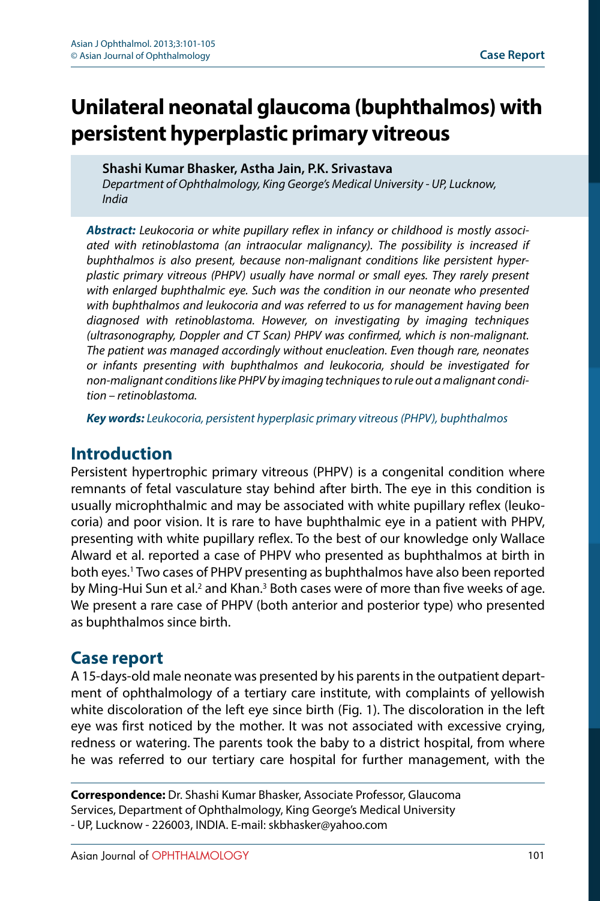# **Unilateral neonatal glaucoma (buphthalmos) with persistent hyperplastic primary vitreous**

**Shashi Kumar Bhasker, Astha Jain, P.K. Srivastava**

*Department of Ophthalmology, King George's Medical University - UP, Lucknow, India*

*Abstract: Leukocoria or white pupillary reflex in infancy or childhood is mostly associated with retinoblastoma (an intraocular malignancy). The possibility is increased if buphthalmos is also present, because non-malignant conditions like persistent hyperplastic primary vitreous (PHPV) usually have normal or small eyes. They rarely present with enlarged buphthalmic eye. Such was the condition in our neonate who presented with buphthalmos and leukocoria and was referred to us for management having been diagnosed with retinoblastoma. However, on investigating by imaging techniques (ultrasonography, Doppler and CT Scan) PHPV was confirmed, which is non-malignant. The patient was managed accordingly without enucleation. Even though rare, neonates or infants presenting with buphthalmos and leukocoria, should be investigated for non-malignant conditions like PHPV by imaging techniques to rule out a malignant condition – retinoblastoma.*

*Key words: Leukocoria, persistent hyperplasic primary vitreous (PHPV), buphthalmos*

# **Introduction**

Persistent hypertrophic primary vitreous (PHPV) is a congenital condition where remnants of fetal vasculature stay behind after birth. The eye in this condition is usually microphthalmic and may be associated with white pupillary reflex (leukocoria) and poor vision. It is rare to have buphthalmic eye in a patient with PHPV, presenting with white pupillary reflex. To the best of our knowledge only Wallace Alward et al. reported a case of PHPV who presented as buphthalmos at birth in both eyes[.1](#page-4-0) Two cases of PHPV presenting as buphthalmos have also been reported by Ming-Hui Sun et al.<sup>2</sup> and Khan.<sup>3</sup> Both cases were of more than five weeks of age. We present a rare case of PHPV (both anterior and posterior type) who presented as buphthalmos since birth.

# **Case report**

A 15-days-old male neonate was presented by his parents in the outpatient department of ophthalmology of a tertiary care institute, with complaints of yellowish white discoloration of the left eye since birth (Fig. 1). The discoloration in the left eye was first noticed by the mother. It was not associated with excessive crying, redness or watering. The parents took the baby to a district hospital, from where he was referred to our tertiary care hospital for further management, with the

**Correspondence:** Dr. Shashi Kumar Bhasker, Associate Professor, Glaucoma Services, Department of Ophthalmology, King George's Medical University - UP, Lucknow - 226003, INDIA. E-mail: skbhasker@yahoo.com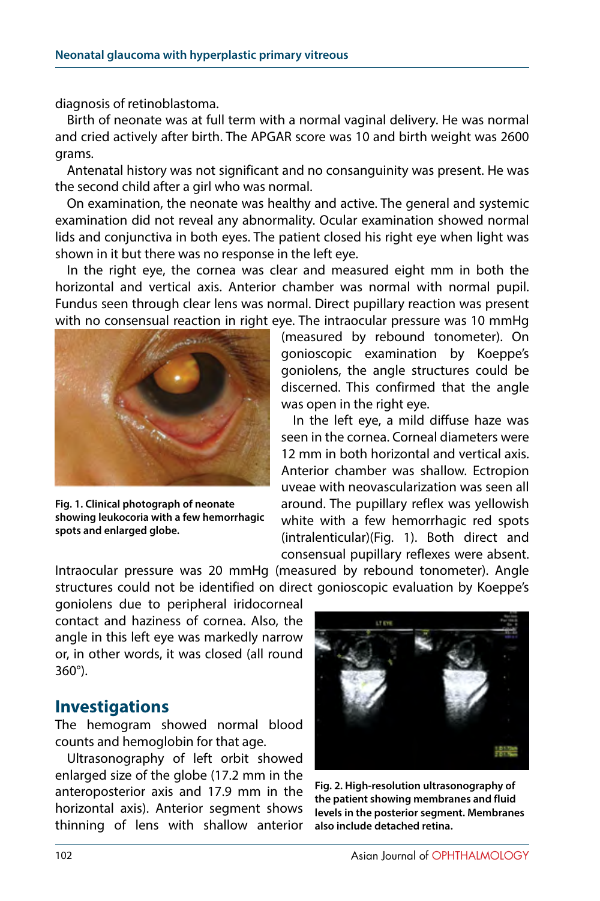diagnosis of retinoblastoma.

Birth of neonate was at full term with a normal vaginal delivery. He was normal and cried actively after birth. The APGAR score was 10 and birth weight was 2600 grams.

Antenatal history was not significant and no consanguinity was present. He was the second child after a girl who was normal.

On examination, the neonate was healthy and active. The general and systemic examination did not reveal any abnormality. Ocular examination showed normal lids and conjunctiva in both eyes. The patient closed his right eye when light was shown in it but there was no response in the left eye.

In the right eye, the cornea was clear and measured eight mm in both the horizontal and vertical axis. Anterior chamber was normal with normal pupil. Fundus seen through clear lens was normal. Direct pupillary reaction was present with no consensual reaction in right eye. The intraocular pressure was 10 mmHg



**Fig. 1. Clinical photograph of neonate showing leukocoria with a few hemorrhagic spots and enlarged globe.**

(measured by rebound tonometer). On gonioscopic examination by Koeppe's goniolens, the angle structures could be discerned. This confirmed that the angle was open in the right eye.

In the left eye, a mild diffuse haze was seen in the cornea. Corneal diameters were 12 mm in both horizontal and vertical axis. Anterior chamber was shallow. Ectropion uveae with neovascularization was seen all around. The pupillary reflex was yellowish white with a few hemorrhagic red spots (intralenticular)(Fig. 1). Both direct and consensual pupillary reflexes were absent.

Intraocular pressure was 20 mmHg (measured by rebound tonometer). Angle structures could not be identified on direct gonioscopic evaluation by Koeppe's

goniolens due to peripheral iridocorneal contact and haziness of cornea. Also, the angle in this left eye was markedly narrow or, in other words, it was closed (all round 360°).

#### **Investigations**

The hemogram showed normal blood counts and hemoglobin for that age.

Ultrasonography of left orbit showed enlarged size of the globe (17.2 mm in the anteroposterior axis and 17.9 mm in the horizontal axis). Anterior segment shows thinning of lens with shallow anterior



**Fig. 2. High-resolution ultrasonography of the patient showing membranes and fluid levels in the posterior segment. Membranes also include detached retina.**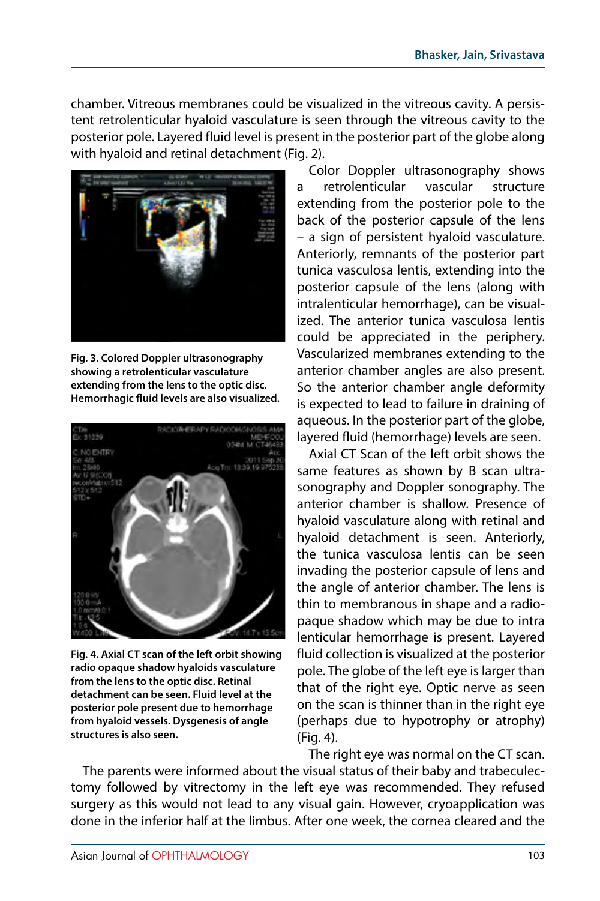chamber. Vitreous membranes could be visualized in the vitreous cavity. A persistent retrolenticular hyaloid vasculature is seen through the vitreous cavity to the posterior pole. Layered fluid level is present in the posterior part of the globe along with hyaloid and retinal detachment (Fig. 2).



**Fig. 3. Colored Doppler ultrasonography showing a retrolenticular vasculature extending from the lens to the optic disc. Hemorrhagic fluid levels are also visualized.**



**Fig. 4. Axial CT scan of the left orbit showing radio opaque shadow hyaloids vasculature from the lens to the optic disc. Retinal detachment can be seen. Fluid level at the posterior pole present due to hemorrhage from hyaloid vessels. Dysgenesis of angle structures is also seen.**

Color Doppler ultrasonography shows a retrolenticular vascular structure extending from the posterior pole to the back of the posterior capsule of the lens – a sign of persistent hyaloid vasculature. Anteriorly, remnants of the posterior part tunica vasculosa lentis, extending into the posterior capsule of the lens (along with intralenticular hemorrhage), can be visualized. The anterior tunica vasculosa lentis could be appreciated in the periphery. Vascularized membranes extending to the anterior chamber angles are also present. So the anterior chamber angle deformity is expected to lead to failure in draining of aqueous. In the posterior part of the globe, layered fluid (hemorrhage) levels are seen.

Axial CT Scan of the left orbit shows the same features as shown by B scan ultrasonography and Doppler sonography. The anterior chamber is shallow. Presence of hyaloid vasculature along with retinal and hyaloid detachment is seen. Anteriorly, the tunica vasculosa lentis can be seen invading the posterior capsule of lens and the angle of anterior chamber. The lens is thin to membranous in shape and a radiopaque shadow which may be due to intra lenticular hemorrhage is present. Layered fluid collection is visualized at the posterior pole. The globe of the left eye is larger than that of the right eye. Optic nerve as seen on the scan is thinner than in the right eye (perhaps due to hypotrophy or atrophy) (Fig. 4).

The right eye was normal on the CT scan. The parents were informed about the visual status of their baby and trabeculectomy followed by vitrectomy in the left eye was recommended. They refused surgery as this would not lead to any visual gain. However, cryoapplication was done in the inferior half at the limbus. After one week, the cornea cleared and the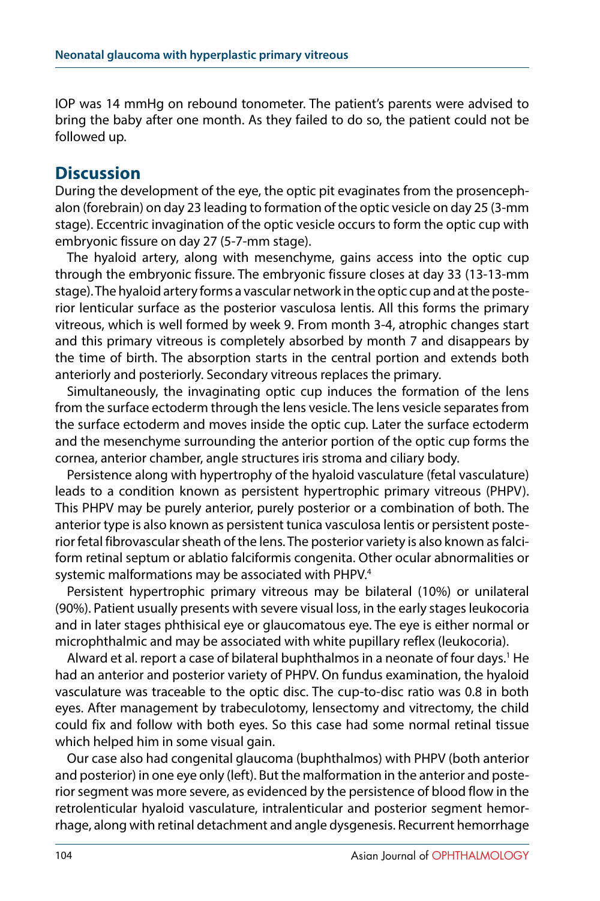IOP was 14 mmHg on rebound tonometer. The patient's parents were advised to bring the baby after one month. As they failed to do so, the patient could not be followed up.

### **Discussion**

During the development of the eye, the optic pit evaginates from the prosencephalon (forebrain) on day 23 leading to formation of the optic vesicle on day 25 (3-mm stage). Eccentric invagination of the optic vesicle occurs to form the optic cup with embryonic fissure on day 27 (5-7-mm stage).

The hyaloid artery, along with mesenchyme, gains access into the optic cup through the embryonic fissure. The embryonic fissure closes at day 33 (13-13-mm stage). The hyaloid artery forms a vascular network in the optic cup and at the posterior lenticular surface as the posterior vasculosa lentis. All this forms the primary vitreous, which is well formed by week 9. From month 3-4, atrophic changes start and this primary vitreous is completely absorbed by month 7 and disappears by the time of birth. The absorption starts in the central portion and extends both anteriorly and posteriorly. Secondary vitreous replaces the primary.

Simultaneously, the invaginating optic cup induces the formation of the lens from the surface ectoderm through the lens vesicle. The lens vesicle separates from the surface ectoderm and moves inside the optic cup. Later the surface ectoderm and the mesenchyme surrounding the anterior portion of the optic cup forms the cornea, anterior chamber, angle structures iris stroma and ciliary body.

Persistence along with hypertrophy of the hyaloid vasculature (fetal vasculature) leads to a condition known as persistent hypertrophic primary vitreous (PHPV). This PHPV may be purely anterior, purely posterior or a combination of both. The anterior type is also known as persistent tunica vasculosa lentis or persistent posterior fetal fibrovascular sheath of the lens. The posterior variety is also known as falciform retinal septum or ablatio falciformis congenita. Other ocular abnormalities or systemic malformations may be associated with PHPV.<sup>4</sup>

Persistent hypertrophic primary vitreous may be bilateral (10%) or unilateral (90%). Patient usually presents with severe visual loss, in the early stages leukocoria and in later stages phthisical eye or glaucomatous eye. The eye is either normal or microphthalmic and may be associated with white pupillary reflex (leukocoria).

Alward et al. report a case of bilateral buphthalmos in a neonate of four days.<sup>1</sup> He had an anterior and posterior variety of PHPV. On fundus examination, the hyaloid vasculature was traceable to the optic disc. The cup-to-disc ratio was 0.8 in both eyes. After management by trabeculotomy, lensectomy and vitrectomy, the child could fix and follow with both eyes. So this case had some normal retinal tissue which helped him in some visual gain.

Our case also had congenital glaucoma (buphthalmos) with PHPV (both anterior and posterior) in one eye only (left). But the malformation in the anterior and posterior segment was more severe, as evidenced by the persistence of blood flow in the retrolenticular hyaloid vasculature, intralenticular and posterior segment hemorrhage, along with retinal detachment and angle dysgenesis. Recurrent hemorrhage